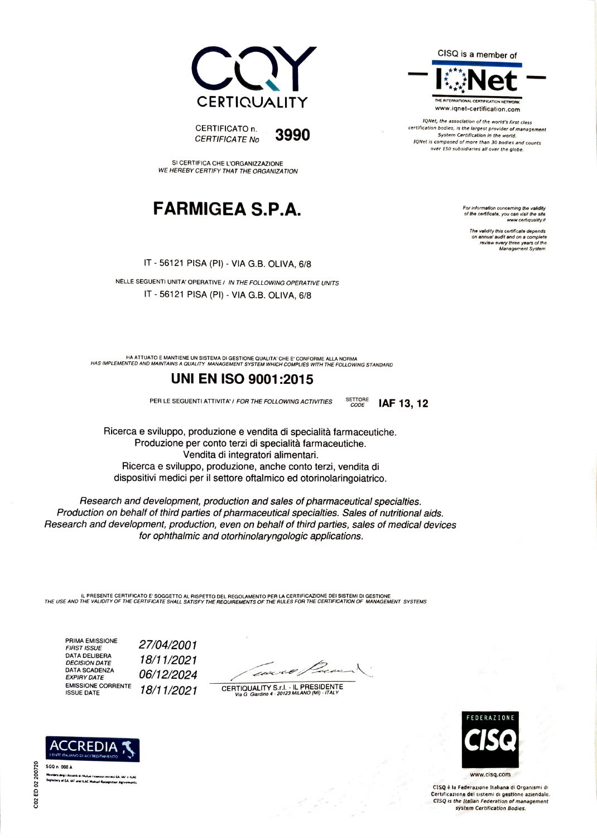

QNet, the assoclatlon of the world's first class  $\text{CERTIFICATION}\ \textcolor{red}{\text{CERTFICATOR}}\ \textcolor{red}{\text{S990}}\ \textcolor{red}{\text{S990}}\ \textcolor{red}{\text{S990}}\ \textcolor{red}{\text{S900}}\ \textcolor{red}{\text{S900}}\ \textcolor{red}{\text{S900}}\ \textcolor{red}{\text{S900}}\ \textcolor{red}{\text{S900}}\ \textcolor{red}{\text{S900}}\ \textcolor{red}{\text{S900}}\ \textcolor{red}{\text{S900}}\ \textcolor{red}{\text{S900}}\ \textcolor{red}{\text{S900}}\ \text$ over 150 subsidlaries all over the globe.

> of the certificate, you can visit the site www.certiquality.it

The validity this certificale depends on annual audit and on a complete<br>review every three years of the<br>.Management System



SI CERTIFICA CHE L'ORGANIZZAZIONE WE HEREBY CERTIFY THAT THE ORGANIZATION

## $\mathsf{FARMIGEA}$   $\mathsf{S.P.A.}$  For information concerning the validity of  $\mathsf{FARM}$

IT 56121 PISA (PI) - VIA G.B. OLIVA, 6/8

NELLE SEGUENTI UNITA' OPERATIVE/ IN THE FOLLOWING OPERATIVE UNITS IT 56121 PISA (PI) - VIA G.B. OLIVA, 6/8

HA ATTUATO E MANTIENE UN SISTEMA DI GESTIONE QUALITA CHE E CONFORME ALLA NORMA HAS IMPLEMENTED AND MAINTAINS A QUALITY MANAGEMENT SYSTEM WHICH COMPLIES WmH THE FOLLOwING STANDARD

### UNI EN IsO 9001:2015

PER LE SEGUENTI ATTIVITA' / FOR THE FOLLOWING ACTIVITIES SETTORE

IAF 13, 12

Ricerca e sviluppo, produzione e vendita di specialità farmaceutiche. Produzione per conto terzi di specialità farmaceutiche. Vendita di integratori alimentari. Ricerca e sviluppo, produzione, anche conto terzi, vendita di dispositivi medici per il settore oftalmico ed otorinolaringoiatrico.

Research and development, production and sales of pharmaceutical specialties. Production on behalf of third parties of pharmaceutical specialties. Sales of nutritional aids. Research and development, production, even on behalf of third parties, sales of medical devices for ophthalmic and otorhinolaryngologic applications.

IL PRESENTE CERTIFICATO E' SOGGETTO AL RISPETTO DEL REGOLAMENTO PER LA CERTIFICAZIONE DEI SISTEMI DI GESTIONE<br>THE USE AND THE VALIDITY OF THE CERTIFICATE SHALL SATISFY THE REQUIREMENTS OF THE RULES FOR THE CERTIFICATION OF

PRIMA EMISSIONE<br>FIRST ISSUE PRIMA EMISSIONE 27/04/2001<br>FIRST ISSUE<br>DECISION DATE 18/11/2021 DATA DELIBERA<br>*DECISION DATE 18/11/2021<br>DATA SCADENZA 06/12/2024* EXPIRY DATE 06/12/2024 CERTIFICAL CORRENTE 18/11/2021 CERTIQUALITY S.r.l. - IL PRESIDENTE VISIT - IL PRESIDENTE



www.cisq.com

CISQ è la Federazione Italiana di Organismi di Certiflcazione del sistemi di gestione aziendale. CIsQ Is the Itallan Federation of management system Certification Bodles.



Membro degli Accordi di Mutuo ricanoscimento EA, 14F e ILAC<br>Signatory al EA, 1AF and ILAC Mutual Recognition Agreements